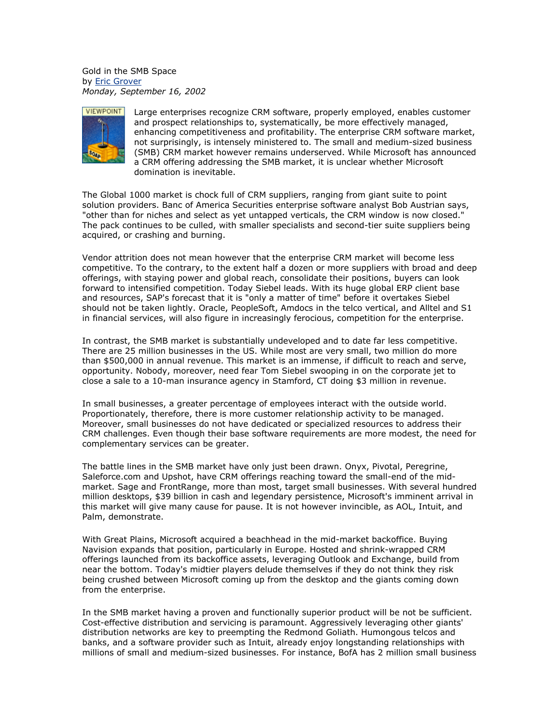Gold in the SMB Space by [Eric Grover](mailto:) *Monday, September 16, 2002*



Large enterprises recognize CRM software, properly employed, enables customer and prospect relationships to, systematically, be more effectively managed, enhancing competitiveness and profitability. The enterprise CRM software market, not surprisingly, is intensely ministered to. The small and medium-sized business (SMB) CRM market however remains underserved. While Microsoft has announced a CRM offering addressing the SMB market, it is unclear whether Microsoft domination is inevitable.

The Global 1000 market is chock full of CRM suppliers, ranging from giant suite to point solution providers. Banc of America Securities enterprise software analyst Bob Austrian says, "other than for niches and select as yet untapped verticals, the CRM window is now closed." The pack continues to be culled, with smaller specialists and second-tier suite suppliers being acquired, or crashing and burning.

Vendor attrition does not mean however that the enterprise CRM market will become less competitive. To the contrary, to the extent half a dozen or more suppliers with broad and deep offerings, with staying power and global reach, consolidate their positions, buyers can look forward to intensified competition. Today Siebel leads. With its huge global ERP client base and resources, SAP's forecast that it is "only a matter of time" before it overtakes Siebel should not be taken lightly. Oracle, PeopleSoft, Amdocs in the telco vertical, and Alltel and S1 in financial services, will also figure in increasingly ferocious, competition for the enterprise.

In contrast, the SMB market is substantially undeveloped and to date far less competitive. There are 25 million businesses in the US. While most are very small, two million do more than \$500,000 in annual revenue. This market is an immense, if difficult to reach and serve, opportunity. Nobody, moreover, need fear Tom Siebel swooping in on the corporate jet to close a sale to a 10-man insurance agency in Stamford, CT doing \$3 million in revenue.

In small businesses, a greater percentage of employees interact with the outside world. Proportionately, therefore, there is more customer relationship activity to be managed. Moreover, small businesses do not have dedicated or specialized resources to address their CRM challenges. Even though their base software requirements are more modest, the need for complementary services can be greater.

The battle lines in the SMB market have only just been drawn. Onyx, Pivotal, Peregrine, Saleforce.com and Upshot, have CRM offerings reaching toward the small-end of the midmarket. Sage and FrontRange, more than most, target small businesses. With several hundred million desktops, \$39 billion in cash and legendary persistence, Microsoft's imminent arrival in this market will give many cause for pause. It is not however invincible, as AOL, Intuit, and Palm, demonstrate.

With Great Plains, Microsoft acquired a beachhead in the mid-market backoffice. Buying Navision expands that position, particularly in Europe. Hosted and shrink-wrapped CRM offerings launched from its backoffice assets, leveraging Outlook and Exchange, build from near the bottom. Today's midtier players delude themselves if they do not think they risk being crushed between Microsoft coming up from the desktop and the giants coming down from the enterprise.

In the SMB market having a proven and functionally superior product will be not be sufficient. Cost-effective distribution and servicing is paramount. Aggressively leveraging other giants' distribution networks are key to preempting the Redmond Goliath. Humongous telcos and banks, and a software provider such as Intuit, already enjoy longstanding relationships with millions of small and medium-sized businesses. For instance, BofA has 2 million small business